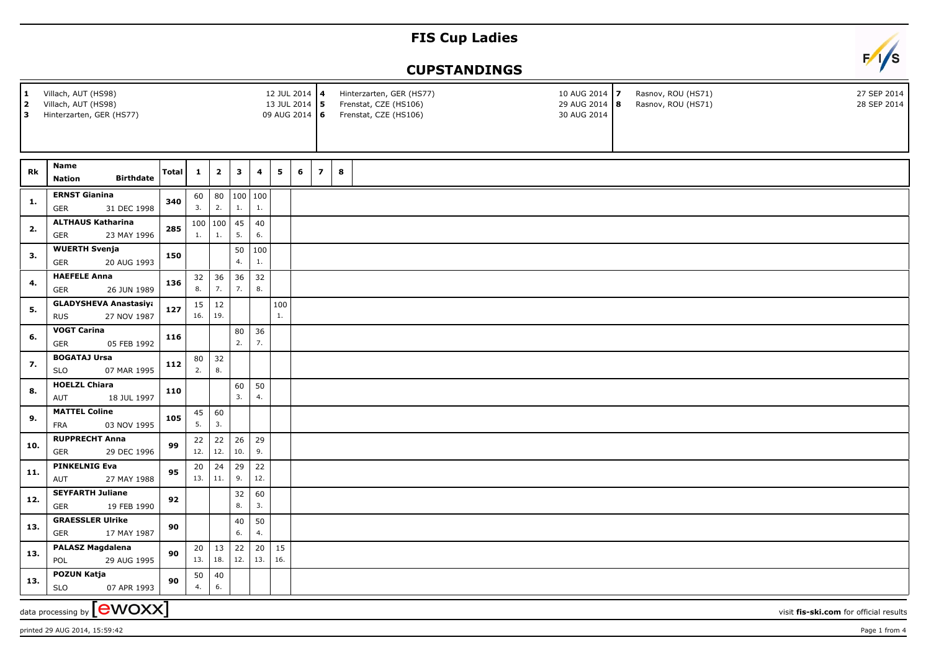## **FIS Cup Ladies**



## **CUPSTANDINGS**

| 1<br>2<br>l 3              | Villach, AUT (HS98)<br>Villach, AUT (HS98)<br>Hinterzarten, GER (HS77) |       |              |                |               |           | 12 JUL 2014 4<br>13 JUL 2014 5 |   | 09 AUG 2014 6            |   | Hinterzarten, GER (HS77)<br>Frenstat, CZE (HS106)<br>Frenstat, CZE (HS106) | 10 AUG 2014 7<br>29 AUG 2014 8<br>30 AUG 2014 |                                        | Rasnov, ROU (HS71)<br>Rasnov, ROU (HS71) | 27 SEP 2014<br>28 SEP 2014 |  |
|----------------------------|------------------------------------------------------------------------|-------|--------------|----------------|---------------|-----------|--------------------------------|---|--------------------------|---|----------------------------------------------------------------------------|-----------------------------------------------|----------------------------------------|------------------------------------------|----------------------------|--|
|                            | Name                                                                   |       |              |                |               |           |                                |   |                          |   |                                                                            |                                               |                                        |                                          |                            |  |
| Rk                         | <b>Birthdate</b><br><b>Nation</b>                                      | Total | $\mathbf{1}$ | $\mathbf{2}$   | $\mathbf{3}$  | 4         | 5                              | 6 | $\overline{\phantom{a}}$ | 8 |                                                                            |                                               |                                        |                                          |                            |  |
| 1.                         | <b>ERNST Gianina</b><br>31 DEC 1998<br>GER                             | 340   | 60<br>3.     | 2.             | 80 100<br>1.  | 100<br>1. |                                |   |                          |   |                                                                            |                                               |                                        |                                          |                            |  |
|                            | <b>ALTHAUS Katharina</b>                                               |       |              | 100   100   45 |               | 40        |                                |   |                          |   |                                                                            |                                               |                                        |                                          |                            |  |
| 2.                         | 23 MAY 1996<br><b>GER</b>                                              | 285   | 1.           | 1.             | 5.            | 6.        |                                |   |                          |   |                                                                            |                                               |                                        |                                          |                            |  |
| 3.                         | <b>WUERTH Svenja</b><br>20 AUG 1993<br><b>GER</b>                      | 150   |              |                | 50<br>4.      | 100<br>1. |                                |   |                          |   |                                                                            |                                               |                                        |                                          |                            |  |
|                            | <b>HAEFELE Anna</b>                                                    |       | 32           | 36             | 36            | 32        |                                |   |                          |   |                                                                            |                                               |                                        |                                          |                            |  |
| 4.                         | 26 JUN 1989<br><b>GER</b>                                              | 136   | 8.           | 7.             | 7.            | 8.        |                                |   |                          |   |                                                                            |                                               |                                        |                                          |                            |  |
| 5.                         | <b>GLADYSHEVA Anastasiya</b>                                           | 127   | 15           | $12\,$         |               |           | 100                            |   |                          |   |                                                                            |                                               |                                        |                                          |                            |  |
|                            | <b>RUS</b><br>27 NOV 1987                                              |       | 16.          | 19.            |               |           | 1.                             |   |                          |   |                                                                            |                                               |                                        |                                          |                            |  |
| 6.                         | <b>VOGT Carina</b>                                                     | 116   |              |                | 80            | 36        |                                |   |                          |   |                                                                            |                                               |                                        |                                          |                            |  |
|                            | 05 FEB 1992<br>GER                                                     |       |              |                | 2.            | 7.        |                                |   |                          |   |                                                                            |                                               |                                        |                                          |                            |  |
| 7.                         | <b>BOGATAJ Ursa</b><br><b>SLO</b><br>07 MAR 1995                       | 112   | 80<br>2.     | 32<br>8.       |               |           |                                |   |                          |   |                                                                            |                                               |                                        |                                          |                            |  |
|                            | <b>HOELZL Chiara</b>                                                   |       |              |                | 60            | 50        |                                |   |                          |   |                                                                            |                                               |                                        |                                          |                            |  |
| 8.                         | AUT<br>18 JUL 1997                                                     | 110   |              |                | 3.            | 4.        |                                |   |                          |   |                                                                            |                                               |                                        |                                          |                            |  |
| 9.                         | <b>MATTEL Coline</b>                                                   | 105   | 45           | 60             |               |           |                                |   |                          |   |                                                                            |                                               |                                        |                                          |                            |  |
|                            | FRA<br>03 NOV 1995                                                     |       |              |                | 5.            | 3.        |                                |   |                          |   |                                                                            |                                               |                                        |                                          |                            |  |
| 10.                        | <b>RUPPRECHT Anna</b>                                                  | 99    | 22           | 22             | 26            | 29        |                                |   |                          |   |                                                                            |                                               |                                        |                                          |                            |  |
|                            | <b>GER</b><br>29 DEC 1996                                              |       | 12.          | 12.            | 10.           | 9.        |                                |   |                          |   |                                                                            |                                               |                                        |                                          |                            |  |
| 11.                        | <b>PINKELNIG Eva</b>                                                   | 95    | 20           | 24             | 29            | 22        |                                |   |                          |   |                                                                            |                                               |                                        |                                          |                            |  |
|                            | AUT<br>27 MAY 1988                                                     |       | 13.          | 11.            | 9.            | 12.       |                                |   |                          |   |                                                                            |                                               |                                        |                                          |                            |  |
| 12.                        | <b>SEYFARTH Juliane</b><br><b>GER</b><br>19 FEB 1990                   | 92    |              |                | 32<br>8.      | 60<br>3.  |                                |   |                          |   |                                                                            |                                               |                                        |                                          |                            |  |
| 13.                        | <b>GRAESSLER Ulrike</b>                                                | 90    |              |                | 40            | 50        |                                |   |                          |   |                                                                            |                                               |                                        |                                          |                            |  |
|                            | 17 MAY 1987<br><b>GER</b>                                              |       |              |                | 6.            | 4.        |                                |   |                          |   |                                                                            |                                               |                                        |                                          |                            |  |
| 13.                        | <b>PALASZ Magdalena</b><br>POL<br>29 AUG 1995                          | 90    | 20<br>13.    | 13             | 22<br>18. 12. | 20<br>13. | 15<br>16.                      |   |                          |   |                                                                            |                                               |                                        |                                          |                            |  |
|                            | <b>POZUN Katja</b>                                                     |       | 50           | 40             |               |           |                                |   |                          |   |                                                                            |                                               |                                        |                                          |                            |  |
| 13.                        | <b>SLO</b><br>07 APR 1993                                              | 90    | 4.           | 6.             |               |           |                                |   |                          |   |                                                                            |                                               |                                        |                                          |                            |  |
| data processing by [CWOXX] |                                                                        |       |              |                |               |           |                                |   |                          |   |                                                                            |                                               | visit fis-ski.com for official results |                                          |                            |  |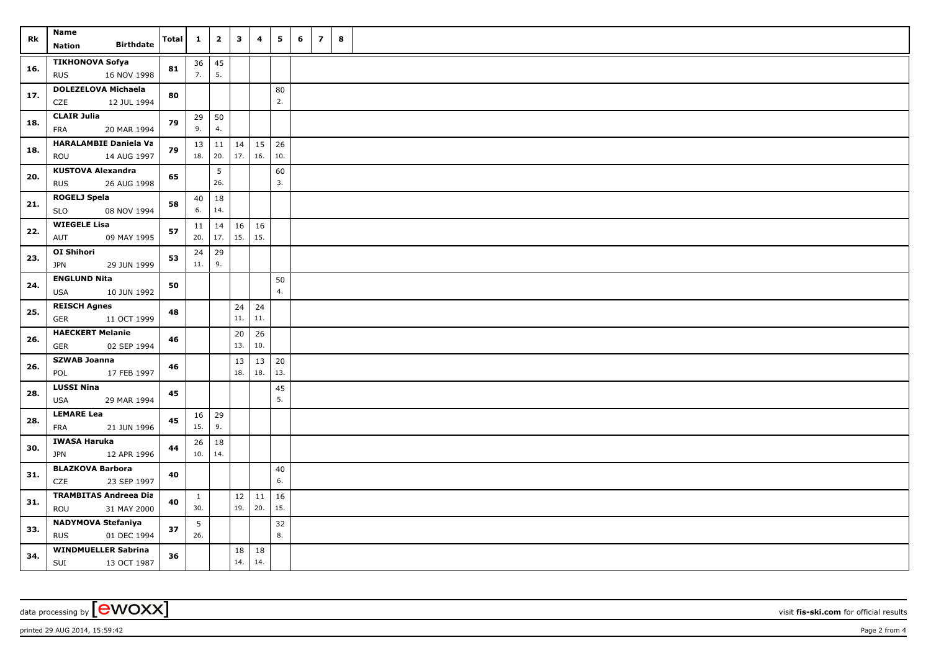| Rk  | <b>Name</b><br><b>Birthdate</b><br>Nation              | Total | $\mathbf{1}$        | $\overline{\mathbf{2}}$ | $\mathbf{3}$ | 4         | 5                   | 6 | $\overline{z}$ | 8 |  |
|-----|--------------------------------------------------------|-------|---------------------|-------------------------|--------------|-----------|---------------------|---|----------------|---|--|
| 16. | <b>TIKHONOVA Sofya</b><br><b>RUS</b><br>16 NOV 1998    | 81    | 36<br>7.            | 45<br>5.                |              |           |                     |   |                |   |  |
| 17. | <b>DOLEZELOVA Michaela</b><br>12 JUL 1994<br>CZE       | 80    |                     |                         |              |           | 80<br>2.            |   |                |   |  |
| 18. | <b>CLAIR Julia</b><br>20 MAR 1994<br>FRA               | 79    | 29<br>9.            | 50<br>4.                |              |           |                     |   |                |   |  |
| 18. | <b>HARALAMBIE Daniela Va</b><br>ROU<br>14 AUG 1997     | 79    | 13<br>18.           | 11<br>20.               | 14<br>17.    | 16.       | $15 \mid 26$<br>10. |   |                |   |  |
| 20. | <b>KUSTOVA Alexandra</b><br><b>RUS</b><br>26 AUG 1998  | 65    |                     | 5<br>26.                |              |           | 60<br>3.            |   |                |   |  |
| 21. | <b>ROGELJ Spela</b><br>08 NOV 1994<br><b>SLO</b>       | 58    | 40<br>6.            | 18<br>14.               |              |           |                     |   |                |   |  |
| 22. | <b>WIEGELE Lisa</b><br>AUT<br>09 MAY 1995              | 57    | 11<br>20.           | 14<br>17.               | 16<br>15.    | 16<br>15. |                     |   |                |   |  |
| 23. | OI Shihori<br><b>JPN</b><br>29 JUN 1999                | 53    | 24<br>11.           | 29<br>9.                |              |           |                     |   |                |   |  |
| 24. | <b>ENGLUND Nita</b><br>10 JUN 1992<br><b>USA</b>       | 50    |                     |                         |              |           | 50<br>4.            |   |                |   |  |
| 25. | <b>REISCH Agnes</b><br>GER<br>11 OCT 1999              | 48    |                     |                         | 24<br>$11.$  | 24<br>11. |                     |   |                |   |  |
| 26. | <b>HAECKERT Melanie</b><br>GER<br>02 SEP 1994          | 46    |                     |                         | 20<br>13.    | 26<br>10. |                     |   |                |   |  |
| 26. | <b>SZWAB Joanna</b><br>17 FEB 1997<br>POL              | 46    |                     |                         | 13<br>18.    | 13<br>18. | 20<br>13.           |   |                |   |  |
| 28. | <b>LUSSI Nina</b><br><b>USA</b><br>29 MAR 1994         | 45    |                     |                         |              |           | 45<br>5.            |   |                |   |  |
| 28. | <b>LEMARE Lea</b><br>FRA<br>21 JUN 1996                | 45    | 16<br>15.           | 29<br>9.                |              |           |                     |   |                |   |  |
| 30. | <b>IWASA Haruka</b><br><b>JPN</b><br>12 APR 1996       | 44    | 26<br>10.           | 18<br>14.               |              |           |                     |   |                |   |  |
| 31. | <b>BLAZKOVA Barbora</b><br>23 SEP 1997<br>CZE          | 40    |                     |                         |              |           | 40<br>6.            |   |                |   |  |
| 31. | <b>TRAMBITAS Andreea Dia</b><br>ROU<br>31 MAY 2000     | 40    | $\mathbf{1}$<br>30. |                         | 12<br>19.    | 11<br>20. | 16<br>15.           |   |                |   |  |
| 33. | <b>NADYMOVA Stefaniya</b><br><b>RUS</b><br>01 DEC 1994 | 37    | 5<br>26.            |                         |              |           | 32<br>8.            |   |                |   |  |
| 34. | <b>WINDMUELLER Sabrina</b><br>SUI<br>13 OCT 1987       | 36    |                     |                         | 18<br>14.    | 18<br>14. |                     |   |                |   |  |

data processing by **CWOXX** visit fis-ski.com for official results

printed 29 AUG 2014, 15:59:42 **Page 2** from 4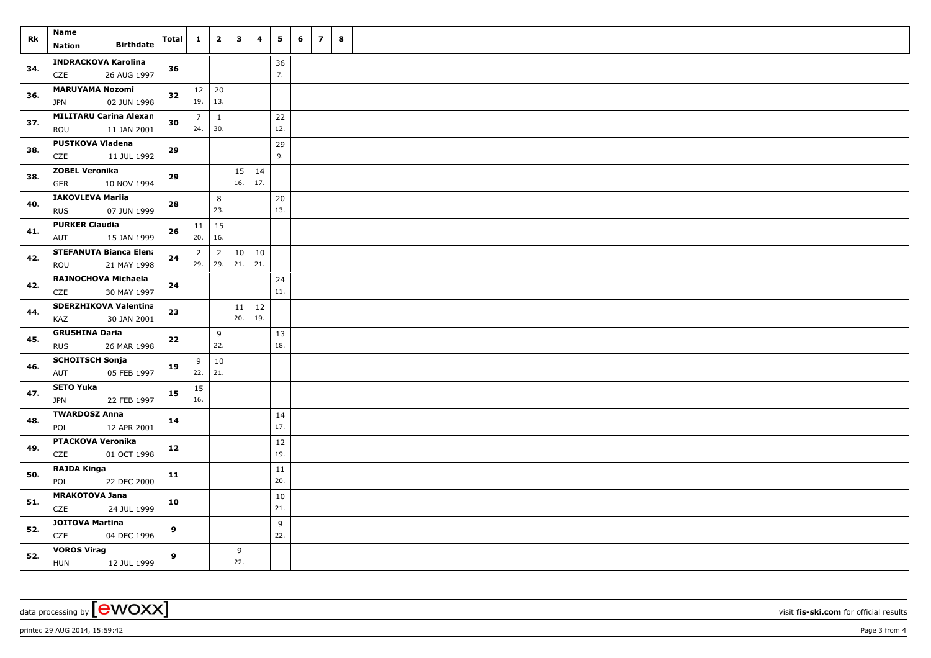| Rk  | <b>Name</b><br>Nation                | <b>Birthdate</b> | Total      | $\mathbf{1}$   | $\overline{\mathbf{2}}$ | $\mathbf{3}$ | 4          | 5         | 6   | $\overline{z}$ | 8 |  |  |
|-----|--------------------------------------|------------------|------------|----------------|-------------------------|--------------|------------|-----------|-----|----------------|---|--|--|
| 34. | <b>INDRACKOVA Karolina</b>           |                  | 36         |                |                         |              |            | 36        |     |                |   |  |  |
|     | CZE                                  | 26 AUG 1997      |            |                |                         |              |            | 7.        |     |                |   |  |  |
| 36. | <b>MARUYAMA Nozomi</b>               |                  | 32         | $12 \mid 20$   |                         |              |            |           |     |                |   |  |  |
|     | <b>JPN</b>                           | 02 JUN 1998      |            | 19.            | 13.                     |              |            |           |     |                |   |  |  |
| 37. | <b>MILITARU Carina Alexan</b>        |                  | 30         | $\overline{7}$ | $\mathbf{1}$            |              |            | 22        |     |                |   |  |  |
|     | ROU                                  | 11 JAN 2001      |            | 24.            | 30.                     |              |            | 12.       |     |                |   |  |  |
| 38. | <b>PUSTKOVA Vladena</b><br>CZE       | 11 JUL 1992      | 29         |                |                         |              |            | 29<br>9.  |     |                |   |  |  |
|     | <b>ZOBEL Veronika</b>                |                  |            |                |                         |              |            |           |     |                |   |  |  |
| 38. | <b>GER</b>                           | 10 NOV 1994      | 29         |                |                         | 15<br>16.    | 14<br> 17. |           |     |                |   |  |  |
|     | <b>IAKOVLEVA Mariia</b>              |                  |            |                | 8                       |              |            | 20        |     |                |   |  |  |
| 40. | <b>RUS</b>                           | 07 JUN 1999      | 28         |                | 23.                     |              |            | 13.       |     |                |   |  |  |
|     | <b>PURKER Claudia</b>                |                  |            |                | 11                      | 15           |            |           |     |                |   |  |  |
| 41. | AUT                                  | 15 JAN 1999      | ${\bf 26}$ | 20.            | 16.                     |              |            |           |     |                |   |  |  |
| 42. | <b>STEFANUTA Bianca Elena</b>        |                  |            | $\overline{2}$ | $\overline{2}$          | $10\,$       | 10         |           |     |                |   |  |  |
|     | ROU                                  | 21 MAY 1998      | 24         | 29.            | 29.                     | 21.          | 21.        |           |     |                |   |  |  |
| 42. | RAJNOCHOVA Michaela                  |                  | 24         |                |                         |              |            | 24        |     |                |   |  |  |
|     | CZE                                  | 30 MAY 1997      |            |                |                         |              |            | 11.       |     |                |   |  |  |
| 44. | SDERZHIKOVA Valentina                |                  | 23         |                |                         | 11           | 12         |           |     |                |   |  |  |
|     | KAZ                                  | 30 JAN 2001      |            |                |                         | 20.          | 19.        |           |     |                |   |  |  |
| 45. | <b>GRUSHINA Daria</b>                |                  | 22         |                | 9<br>22.                |              |            | 13<br>18. |     |                |   |  |  |
|     | <b>RUS</b><br><b>SCHOITSCH Sonja</b> | 26 MAR 1998      |            |                |                         |              |            |           |     |                |   |  |  |
| 46. | AUT                                  | 05 FEB 1997      | 19         | 9<br>22.   21. | 10                      |              |            |           |     |                |   |  |  |
|     | <b>SETO Yuka</b>                     |                  |            | 15             |                         |              |            |           |     |                |   |  |  |
| 47. | <b>JPN</b>                           | 22 FEB 1997      | 15         | 16.            |                         |              |            |           |     |                |   |  |  |
|     | <b>TWARDOSZ Anna</b>                 |                  |            |                |                         |              |            | 14        |     |                |   |  |  |
| 48. | POL                                  | 12 APR 2001      | 14         |                |                         |              |            | 17.       |     |                |   |  |  |
| 49. | <b>PTACKOVA Veronika</b>             |                  |            |                |                         |              |            | 12        |     |                |   |  |  |
|     | CZE                                  | 01 OCT 1998      | 12         |                |                         |              |            | 19.       |     |                |   |  |  |
| 50. | <b>RAJDA Kinga</b>                   |                  | 11         |                |                         |              |            | 11        |     |                |   |  |  |
|     | POL                                  | 22 DEC 2000      |            |                |                         |              |            | 20.       |     |                |   |  |  |
| 51. | <b>MRAKOTOVA Jana</b>                |                  | 10         |                |                         |              |            | 10        |     |                |   |  |  |
|     | CZE                                  | 24 JUL 1999      |            |                |                         |              |            |           | 21. |                |   |  |  |
| 52. | <b>JOITOVA Martina</b>               |                  | 9          |                |                         |              |            | 9         |     |                |   |  |  |
|     | CZE                                  | 04 DEC 1996      |            |                |                         |              |            | 22.       |     |                |   |  |  |
| 52. | <b>VOROS Virag</b><br><b>HUN</b>     | 12 JUL 1999      | 9          |                |                         | 9<br>22.     |            |           |     |                |   |  |  |
|     |                                      |                  |            |                |                         |              |            |           |     |                |   |  |  |